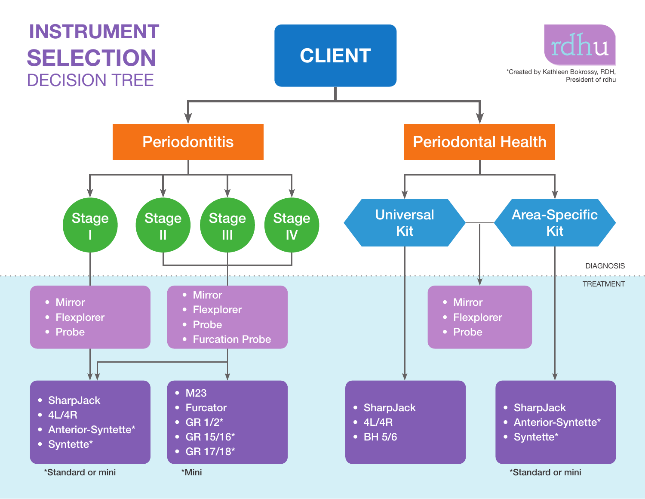